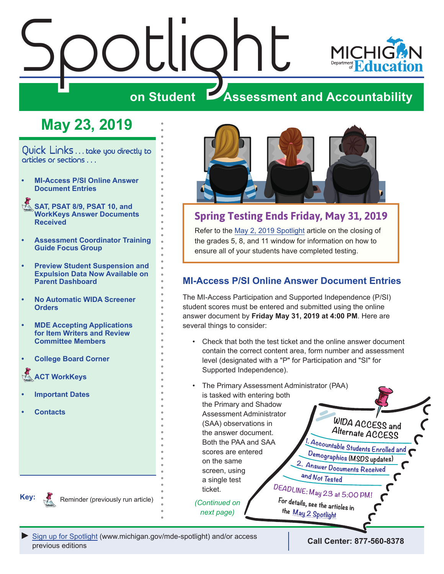# <span id="page-0-0"></span> $\frac{\partial L}{\partial n}$  Student  $\frac{\partial L}{\partial s}$



# **ZASSESSMENT AND ACCOUNTABILITY**

# **May 23, 2019**

Quick Links . . . take you directly to articles or sections . . .

- **• MI-Access P/SI Online Answer Document Entries**
- Reminders **[SAT, PSAT 8/9, PSAT 10, and](#page-1-0)  [WorkKeys Answer Documents](#page-1-0)  [Received](#page-1-0)**
- **• [Assessment Coordinator Training](#page-1-0)  [Guide Focus Group](#page-1-0)**
- **• [Preview Student Suspension and](#page-2-0)  [Expulsion Data Now Available on](#page-2-0)  [Parent Dashboard](#page-2-0)**
- **• [No Automatic WIDA Screener](#page-2-0)  [Orders](#page-2-0)**
- **• [MDE Accepting Applications](#page-3-0)  [for Item Writers and Review](#page-3-0)  [Committee Members](#page-3-0)**
- **• [College Board Corner](#page-4-0)**

**ACT WorkKeys** 

- **• [Important Dates](#page-6-0)**
- **• [Contacts](#page-7-0)**



# **Spring Testing Ends Friday, May 31, 2019**

Refer to the [May 2, 2019 Spotlight](https://www.michigan.gov/documents/mde/Spotlight_5-2-19_654086_7.pdf) article on the closing of the grades 5, 8, and 11 window for information on how to ensure all of your students have completed testing.

# **MI-Access P/SI Online Answer Document Entries**

The MI-Access Participation and Supported Independence (P/SI) student scores must be entered and submitted using the online answer document by **Friday May 31, 2019 at 4:00 PM**. Here are several things to consider:

- Check that both the test ticket and the online answer document contain the correct content area, form number and assessment level (designated with a "P" for Participation and "SI" for Supported Independence).
- The Primary [Assessment Administrator \(PAA\)](https://www.michigan.gov/documents/mde/Spotlight_5-2-19_654086_7.pdf)  is tasked with entering both the Primary and Shadow Assessment Administrator (SAA) observations in the answer document. Both the PAA and SAA scores are entered on the same screen, using and Not Tested a single test DEADLINE: May 23 at 5:00 PM ticket.

*next page)*

 $W$ IDA ACCESS and Alternate ACCESS

Accountable Students Enrolled and Demographics (MSDS updates) 2. Answer Documents Received

For details, see the articles in the May 2 Spotlight

**Key:** Reminders

Reminder (previously run article) *(Continued on* 

*►* [Sign up for Spotlight](https://public.govdelivery.com/accounts/MIMDE/subscriber/new) ([www.michigan.gov/mde-](www.michigan.gov/mde-spotlight)spotlight) and/or access

previous editions **Call Center: 877-560-8378**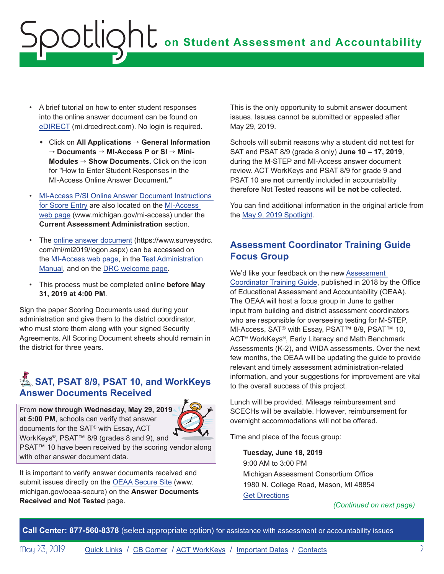- <span id="page-1-0"></span>• A brief tutorial on how to enter student responses into the online answer document can be found on [eDIRECT](https://mi.drcedirect.com) (mi.drcedirect.com). No login is required.
	- w Click on **All Applications** → **General Information** → **Documents** → **MI-Access P or SI** → **Mini-Modules** → **Show Documents.** Click on the icon for "How to Enter Student Responses in the MI-Access Online Answer Document*."*
- [MI-Access P/SI Online Answer Document Instructions](https://www.michigan.gov/documents/mde/P-SI_Online_Answer_Document_-_Instructions_522454_7.pdf)  [for Score Entry](https://www.michigan.gov/documents/mde/P-SI_Online_Answer_Document_-_Instructions_522454_7.pdf) are also located on the [MI-Access](http://www.michigan.gov/mi-access)  [web page](http://www.michigan.gov/mi-access) (www.michigan.gov/mi-access) under the **Current Assessment Administration** section.
- The [online answer document](https://www.surveysdrc.com/mi/mi2019/logon.aspx) (https://www.surveysdrc. com/mi/mi2019/logon.aspx) can be accessed on the [MI-Access web page](http://www.michigan.gov/mi-access), in the [Test Administration](https://www.michigan.gov/documents/mde/Participation_and_Supported_Independence_TAM_635414_7.pdf)  [Manual,](https://www.michigan.gov/documents/mde/Participation_and_Supported_Independence_TAM_635414_7.pdf) and on the [DRC welcome page](https://www.drcedirect.com/all/eca-portal-ui/welcome/MI).
- This process must be completed online **before May 31, 2019 at 4:00 PM**.

Sign the paper Scoring Documents used during your administration and give them to the district coordinator, who must store them along with your signed Security Agreements. All Scoring Document sheets should remain in the district for three years.

# **A. SAT, PSAT 8/9, PSAT 10, and WorkKeys Answer Documents Received**

From **now through Wednesday, May 29, 2019 at 5:00 PM**, schools can verify that answer documents for the SAT® with Essay, ACT WorkKeys®, PSAT™ 8/9 (grades 8 and 9), and



PSAT<sup>™</sup> 10 have been received by the scoring vendor along with other answer document data.

It is important to verify answer documents received and submit issues directly on the [OEAA Secure Site](http://www.michigan.gov/oeaa-secure) (www. michigan.gov/oeaa-secure) on the **Answer Documents Received and Not Tested** page.

This is the only opportunity to submit answer document issues. Issues cannot be submitted or appealed after May 29, 2019.

Schools will submit reasons why a student did not test for SAT and PSAT 8/9 (grade 8 only) **June 10 – 17, 2019**, during the M-STEP and MI-Access answer document review. ACT WorkKeys and PSAT 8/9 for grade 9 and PSAT 10 are **not** currently included in accountability therefore Not Tested reasons will be **not** be collected.

You can find additional information in the original article from the [May 9, 2019 Spotlight.](https://www.michigan.gov/documents/mde/Spotlight_5-9-19_654743_7.pdf)

# **Assessment Coordinator Training Guide Focus Group**

We'd like your feedback on the new [Assessment](https://www.michigan.gov/mde/0,4615,7-140-22709_63192-476290--,00.html)  [Coordinator Training Guide,](https://www.michigan.gov/mde/0,4615,7-140-22709_63192-476290--,00.html) published in 2018 by the Office of Educational Assessment and Accountability (OEAA). The OEAA will host a focus group in June to gather input from building and district assessment coordinators who are responsible for overseeing testing for M-STEP, MI-Access, SAT® with Essay, PSAT™ 8/9, PSAT™ 10, ACT® WorkKeys®, Early Literacy and Math Benchmark Assessments (K-2), and WIDA assessments. Over the next few months, the OEAA will be updating the guide to provide relevant and timely assessment administration-related information, and your suggestions for improvement are vital to the overall success of this project.

Lunch will be provided. Mileage reimbursement and SCECHs will be available. However, reimbursement for overnight accommodations will not be offered.

Time and place of the focus group:

**Tuesday, June 18, 2019** 9:00 AM to 3:00 PM Michigan Assessment Consortium Office 1980 N. College Road, Mason, MI 48854 [Get Directions](https://www.google.com/maps/place/Michigan+Assessment+Consortium/@42.639012,-84.4846947,17z/data=!3m1!4b1!4m5!3m4!1s0x8822c4622e6e5a1f:0xf0932290db64c1a4!8m2!3d42.639012!4d-84.482506)

*(Continued on next page)*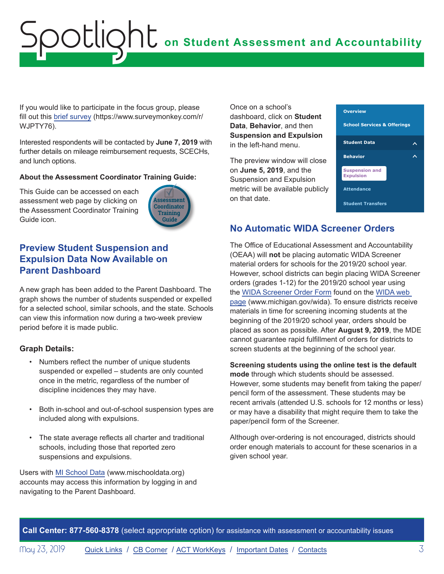<span id="page-2-0"></span>If you would like to participate in the focus group, please fill out this [brief survey](https://www.surveymonkey.com/r/WJPTY76) (https://www.surveymonkey.com/r/ WJPTY76).

Interested respondents will be contacted by **June 7, 2019** with further details on mileage reimbursement requests, SCECHs, and lunch options.

#### **About the Assessment Coordinator Training Guide:**

This Guide can be accessed on each assessment web page by clicking on the Assessment Coordinator Training Guide icon.



# **Preview Student Suspension and Expulsion Data Now Available on Parent Dashboard**

A new graph has been added to the Parent Dashboard. The graph shows the number of students suspended or expelled for a selected school, similar schools, and the state. Schools can view this information now during a two-week preview period before it is made public.

#### **Graph Details:**

- Numbers reflect the number of unique students suspended or expelled – students are only counted once in the metric, regardless of the number of discipline incidences they may have.
- Both in-school and out-of-school suspension types are included along with expulsions.
- The state average reflects all charter and traditional schools, including those that reported zero suspensions and expulsions.

Users with [MI School Data](https://www.mischooldata.org/) (www.mischooldata.org) accounts may access this information by logging in and navigating to the Parent Dashboard.

Once on a school's dashboard, click on **Student Data**, **Behavior**, and then **Suspension and Expulsion** in the left-hand menu.

The preview window will close on **June 5, 2019**, and the Suspension and Expulsion metric will be available publicly on that date.



## **No Automatic WIDA Screener Orders**

The Office of Educational Assessment and Accountability (OEAA) will **not** be placing automatic WIDA Screener material orders for schools for the 2019/20 school year. However, school districts can begin placing WIDA Screener orders (grades 1-12) for the 2019/20 school year using the [WIDA Screener Order Form](https://www.michigan.gov/documents/mde/WIDA_Paper_Screener_Fillable_Order_Form_654070_7.pdf) found on the [WIDA web](www.michigan.gov/wida)  [page](www.michigan.gov/wida) (www.michigan.gov/wida). To ensure districts receive materials in time for screening incoming students at the beginning of the 2019/20 school year, orders should be placed as soon as possible. After **August 9, 2019**, the MDE cannot guarantee rapid fulfillment of orders for districts to screen students at the beginning of the school year.

#### **Screening students using the online test is the default mode** through which students should be assessed. However, some students may benefit from taking the paper/ pencil form of the assessment. These students may be recent arrivals (attended U.S. schools for 12 months or less) or may have a disability that might require them to take the paper/pencil form of the Screener.

Although over-ordering is not encouraged, districts should order enough materials to account for these scenarios in a given school year.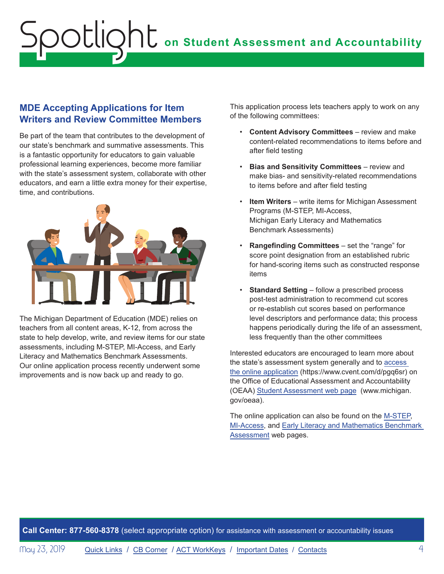## <span id="page-3-0"></span>**MDE Accepting Applications for Item Writers and Review Committee Members**

Be part of the team that contributes to the development of our state's benchmark and summative assessments. This is a fantastic opportunity for educators to gain valuable professional learning experiences, become more familiar with the state's assessment system, collaborate with other educators, and earn a little extra money for their expertise, time, and contributions.



The Michigan Department of Education (MDE) relies on teachers from all content areas, K-12, from across the state to help develop, write, and review items for our state assessments, including M-STEP, MI-Access, and Early Literacy and Mathematics Benchmark Assessments. Our online application process recently underwent some improvements and is now back up and ready to go.

This application process lets teachers apply to work on any of the following committees:

- **Content Advisory Committees** review and make content-related recommendations to items before and after field testing
- **Bias and Sensitivity Committees** review and make bias- and sensitivity-related recommendations to items before and after field testing
- **Item Writers** write items for Michigan Assessment Programs (M-STEP, MI-Access, Michigan Early Literacy and Mathematics Benchmark Assessments)
- **Rangefinding Committees** set the "range" for score point designation from an established rubric for hand-scoring items such as constructed response items
- **Standard Setting** follow a prescribed process post-test administration to recommend cut scores or re-establish cut scores based on performance level descriptors and performance data; this process happens periodically during the life of an assessment, less frequently than the other committees

Interested educators are encouraged to learn more about the state's assessment system generally and to [access](https://www.cvent.com/d/pgq6sr)  [the online application](https://www.cvent.com/d/pgq6sr) (https://www.cvent.com/d/pgq6sr) on the Office of Educational Assessment and Accountability (OEAA) [Student Assessment web page](http://www.michigan.gov/oeaa) (www.michigan. gov/oeaa).

The online application can also be found on the [M-STEP](www.michigan.gov/mstep), [MI-Access,](http://www.michigan.gov/mi-access) and [Early Literacy and Mathematics Benchmark](www.michigan.gov/earlylitandmath)  [Assessment](www.michigan.gov/earlylitandmath) web pages.

**Call Center: 877-560-8378** (select appropriate option) for assistance with assessment or accountability issues

May 23, 2019 **[Quick Links](#page-0-0) / [CB Corner](#page-4-1) / [ACT WorkKeys](#page-5-1) / [Important Dates](#page-6-1) / [Contacts](#page-7-1)** 4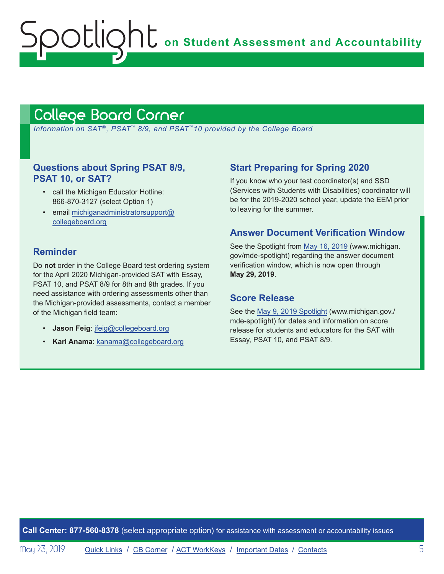**On Student Assessment and Accountability** 

# <span id="page-4-1"></span>College Board Corner

<span id="page-4-0"></span>potlic

 *Information on SAT*®*, PSAT*™ *8/9, and PSAT*™*10 provided by the College Board*

## **Questions about Spring PSAT 8/9, PSAT 10, or SAT?**

- call the Michigan Educator Hotline: 866-870-3127 (select Option 1)
- email [michiganadministratorsupport@](mailto:michiganadministratorsupport%40collegeboard.org?subject=) [collegeboard.org](mailto:michiganadministratorsupport%40collegeboard.org?subject=)

## **Reminder**

Do **not** order in the College Board test ordering system for the April 2020 Michigan-provided SAT with Essay, PSAT 10, and PSAT 8/9 for 8th and 9th grades. If you need assistance with ordering assessments other than the Michigan-provided assessments, contact a member of the Michigan field team:

- **Jason Feig**: [jfeig@collegeboard.org](mailto:jfeig%40collegeboard.org?subject=)
- **Kari Anama**: [kanama@collegeboard.org](mailto:kanama%40collegeboard.org?subject=)

## **Start Preparing for Spring 2020**

If you know who your test coordinator(s) and SSD (Services with Students with Disabilities) coordinator will be for the 2019-2020 school year, update the EEM prior to leaving for the summer.

### **Answer Document Verification Window**

See the Spotlight from [May 16, 2019](https://www.michigan.gov/documents/mde/Spotlight_5-16-19_655364_7.pdf) (www.michigan. gov/mde-spotlight) regarding the answer document verification window, which is now open through **May 29, 2019**.

#### **Score Release**

See the [May 9, 2019 Spotlight](https://www.michigan.gov/documents/mde/Spotlight_5-9-19_654743_7.pdf) (www.michigan.gov./ mde-spotlight) for dates and information on score release for students and educators for the SAT with Essay, PSAT 10, and PSAT 8/9.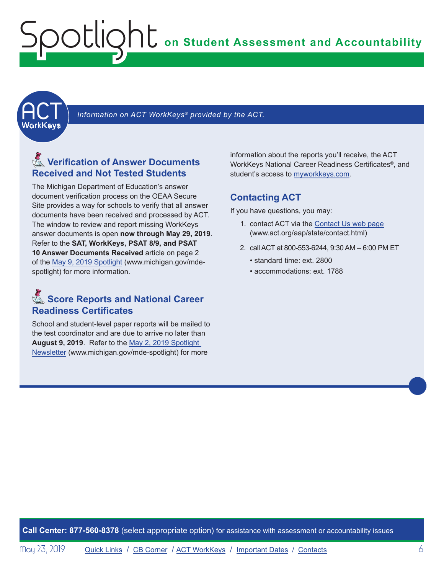<span id="page-5-1"></span><span id="page-5-0"></span>

Information on ACT WorkKeys® provided by the ACT.

# **Reminders** Verification of Answer Documents **Received and Not Tested Students**

The Michigan Department of Education's answer document verification process on the OEAA Secure Site provides a way for schools to verify that all answer documents have been received and processed by ACT. The window to review and report missing WorkKeys answer documents is open **now through May 29, 2019**. Refer to the **SAT, WorkKeys, PSAT 8/9, and PSAT 10 Answer Documents Received** article on page 2 of the [May 9, 2019 Spotlight](https://www.michigan.gov/documents/mde/Spotlight_5-9-19_654743_7.pdf) (www.michigan.gov/mdespotlight) for more information.

# **Reminders** Score Reports and National Career **Readiness Certificates**

School and student-level paper reports will be mailed to the test coordinator and are due to arrive no later than **August 9, 2019**. Refer to the [May 2, 2019 Spotlight](https://www.michigan.gov/documents/mde/Spotlight_5-2-19_654086_7.pdf)  [Newsletter](https://www.michigan.gov/documents/mde/Spotlight_5-2-19_654086_7.pdf) (www.michigan.gov/mde-spotlight) for more

information about the reports you'll receive, the ACT WorkKeys National Career Readiness Certificates®, and student's access to [myworkkeys.com.](http://www.myworkkeys.com)

### **Contacting ACT**

If you have questions, you may:

- 1. contact ACT via the [Contact Us web page](http://www.act.org/aap/state/contact.html) (<www.act.org/aap/state/contact.html>)
- 2. call ACT at 800-553-6244, 9:30 AM 6:00 PM ET
	- standard time: ext. 2800
	- accommodations: ext. 1788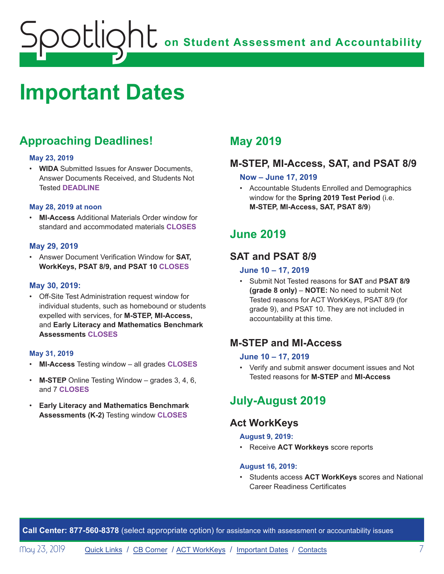# <span id="page-6-1"></span><span id="page-6-0"></span>**Important Dates**

# **Approaching Deadlines!**

#### **May 23, 2019**

• **WIDA** Submitted Issues for Answer Documents, Answer Documents Received, and Students Not Tested **DEADLINE**

#### **May 28, 2019 at noon**

• **MI-Access** Additional Materials Order window for standard and accommodated materials **CLOSES**

#### **May 29, 2019**

• Answer Document Verification Window for **SAT, WorkKeys, PSAT 8/9, and PSAT 10 CLOSES**

#### **May 30, 2019:**

• Off-Site Test Administration request window for individual students, such as homebound or students expelled with services, for **M-STEP, MI-Access,**  and **Early Literacy and Mathematics Benchmark Assessments CLOSES**

#### **May 31, 2019**

- **MI-Access** Testing window all grades **CLOSES**
- **M-STEP** Online Testing Window grades 3, 4, 6, and 7 **CLOSES**
- **Early Literacy and Mathematics Benchmark Assessments (K-2)** Testing window **CLOSES**

# **May 2019**

# **M-STEP, MI-Access, SAT, and PSAT 8/9**

#### **Now – June 17, 2019**

• Accountable Students Enrolled and Demographics window for the **Spring 2019 Test Period** (i.e. **M-STEP, MI-Access, SAT, PSAT 8/9**)

# **June 2019**

# **SAT and PSAT 8/9**

#### **June 10 – 17, 2019**

• Submit Not Tested reasons for **SAT** and **PSAT 8/9 (grade 8 only)** – **NOTE:** No need to submit Not Tested reasons for ACT WorkKeys, PSAT 8/9 (for grade 9), and PSAT 10. They are not included in accountability at this time.

# **M-STEP and MI-Access**

#### **June 10 – 17, 2019**

• Verify and submit answer document issues and Not Tested reasons for **M-STEP** and **MI-Access**

# **July-August 2019**

# **Act WorkKeys**

#### **August 9, 2019:**

• Receive **ACT Workkeys** score reports

#### **August 16, 2019:**

• Students access **ACT WorkKeys** scores and National Career Readiness Certificates

**Call Center: 877-560-8378** (select appropriate option) for assistance with assessment or accountability issues

May 23, 2019 **[Quick Links](#page-0-0) / [CB Corner](#page-4-1) / [ACT WorkKeys](#page-5-1) / [Important Dates](#page-6-1) / [Contacts](#page-7-1)** 7